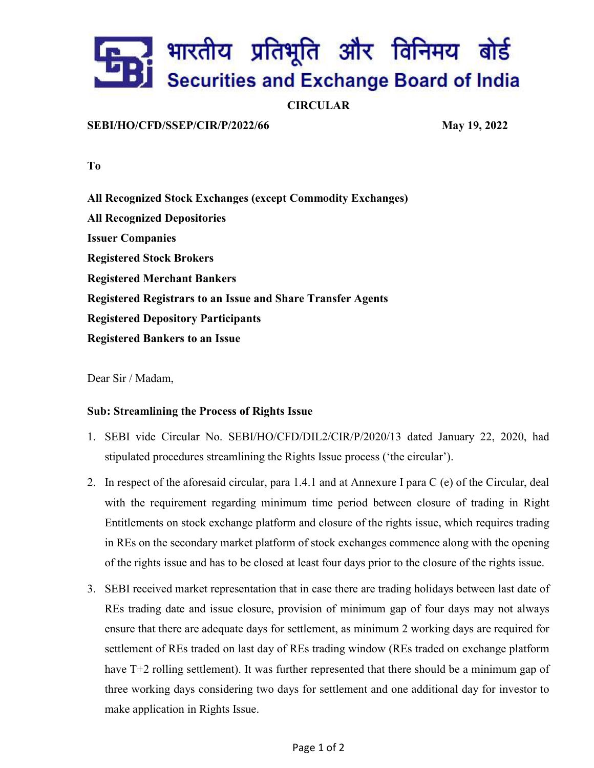# ्रे भारतीय प्रतिभूति और विनिमय बोर्ड Securities and Exchange Board of India

### **CIRCULAR**

#### SEBI/HO/CFD/SSEP/CIR/P/2022/66 May 19, 2022

To

All Recognized Stock Exchanges (except Commodity Exchanges) All Recognized Depositories Issuer Companies Registered Stock Brokers Registered Merchant Bankers Registered Registrars to an Issue and Share Transfer Agents Registered Depository Participants Registered Bankers to an Issue

Dear Sir / Madam,

#### Sub: Streamlining the Process of Rights Issue

- 1. SEBI vide Circular No. SEBI/HO/CFD/DIL2/CIR/P/2020/13 dated January 22, 2020, had stipulated procedures streamlining the Rights Issue process ('the circular').
- 2. In respect of the aforesaid circular, para 1.4.1 and at Annexure I para C (e) of the Circular, deal with the requirement regarding minimum time period between closure of trading in Right Entitlements on stock exchange platform and closure of the rights issue, which requires trading in REs on the secondary market platform of stock exchanges commence along with the opening of the rights issue and has to be closed at least four days prior to the closure of the rights issue.
- 3. SEBI received market representation that in case there are trading holidays between last date of REs trading date and issue closure, provision of minimum gap of four days may not always ensure that there are adequate days for settlement, as minimum 2 working days are required for settlement of REs traded on last day of REs trading window (REs traded on exchange platform have T+2 rolling settlement). It was further represented that there should be a minimum gap of three working days considering two days for settlement and one additional day for investor to make application in Rights Issue.